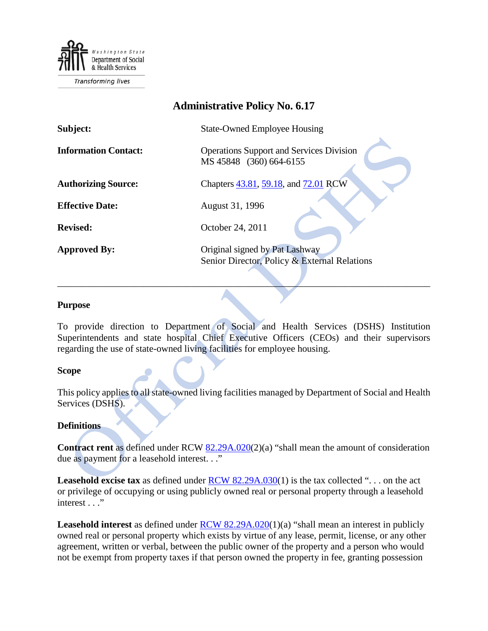

# **Administrative Policy No. 6.17**

| Subject:                    | <b>State-Owned Employee Housing</b>                                            |
|-----------------------------|--------------------------------------------------------------------------------|
| <b>Information Contact:</b> | <b>Operations Support and Services Division</b><br>MS 45848 (360) 664-6155     |
| <b>Authorizing Source:</b>  | Chapters 43.81, 59.18, and 72.01 RCW                                           |
| <b>Effective Date:</b>      | August 31, 1996                                                                |
| <b>Revised:</b>             | October 24, 2011                                                               |
| <b>Approved By:</b>         | Original signed by Pat Lashway<br>Senior Director, Policy & External Relations |

#### **Purpose**

To provide direction to Department of Social and Health Services (DSHS) Institution Superintendents and state hospital Chief Executive Officers (CEOs) and their supervisors regarding the use of state-owned living facilities for employee housing.

\_\_\_\_\_\_\_\_\_\_\_\_\_\_\_\_\_\_\_\_\_\_\_\_\_\_\_\_\_\_\_\_\_\_\_\_\_\_\_\_\_\_\_\_\_\_\_\_\_\_\_\_\_\_\_\_\_\_\_\_\_\_\_\_\_\_\_\_\_\_\_\_\_\_\_\_\_\_

### **Scope**

This policy applies to all state-owned living facilities managed by Department of Social and Health Services (DSHS).

### **Definitions**

**Contract rent** as defined under RCW [82.29A.020\(](http://apps.leg.wa.gov/RCW/default.aspx?cite=82.29A.020)2)(a) "shall mean the amount of consideration due as payment for a leasehold interest. . ."

**Leasehold excise tax** as defined under [RCW 82.29A.030\(](http://apps.leg.wa.gov/RCW/default.aspx?cite=82.29A.030)1) is the tax collected "... on the act or privilege of occupying or using publicly owned real or personal property through a leasehold interest . . ."

**Leasehold interest** as defined under **RCW** 82.29A.020(1)(a) "shall mean an interest in publicly owned real or personal property which exists by virtue of any lease, permit, license, or any other agreement, written or verbal, between the public owner of the property and a person who would not be exempt from property taxes if that person owned the property in fee, granting possession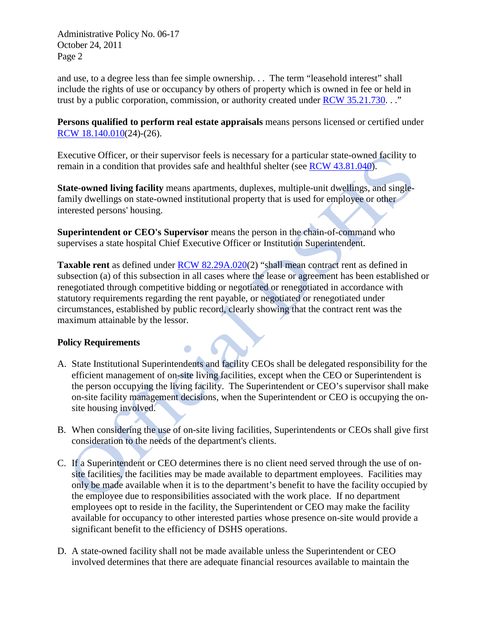Administrative Policy No. 06-17 October 24, 2011 Page 2

and use, to a degree less than fee simple ownership. . . The term "leasehold interest" shall include the rights of use or occupancy by others of property which is owned in fee or held in trust by a public corporation, commission, or authority created under [RCW 35.21.730.](http://apps.leg.wa.gov/RCW/default.aspx?cite=35.21.730) . ."

**Persons qualified to perform real estate appraisals** means persons licensed or certified under [RCW 18.140.010\(](http://apps.leg.wa.gov/RCW/default.aspx?cite=18.140.010)24)-(26).

Executive Officer, or their supervisor feels is necessary for a particular state-owned facility to remain in a condition that provides safe and healthful shelter (see [RCW 43.81.040\)](http://apps.leg.wa.gov/RCW/default.aspx?cite=43.81.040).

**State-owned living facility** means apartments, duplexes, multiple-unit dwellings, and singlefamily dwellings on state-owned institutional property that is used for employee or other interested persons' housing.

**Superintendent or CEO's Supervisor** means the person in the chain-of-command who supervises a state hospital Chief Executive Officer or Institution Superintendent.

 $\Box$ 

**Taxable rent** as defined under **RCW 82.29A.020(2)** "shall mean contract rent as defined in subsection (a) of this subsection in all cases where the lease or agreement has been established or renegotiated through competitive bidding or negotiated or renegotiated in accordance with statutory requirements regarding the rent payable, or negotiated or renegotiated under circumstances, established by public record, clearly showing that the contract rent was the maximum attainable by the lessor.

## **Policy Requirements**

- A. State Institutional Superintendents and facility CEOs shall be delegated responsibility for the efficient management of on-site living facilities, except when the CEO or Superintendent is the person occupying the living facility. The Superintendent or CEO's supervisor shall make on-site facility management decisions, when the Superintendent or CEO is occupying the onsite housing involved.
- B. When considering the use of on-site living facilities, Superintendents or CEOs shall give first consideration to the needs of the department's clients.
- C. If a Superintendent or CEO determines there is no client need served through the use of onsite facilities, the facilities may be made available to department employees. Facilities may only be made available when it is to the department's benefit to have the facility occupied by the employee due to responsibilities associated with the work place. If no department employees opt to reside in the facility, the Superintendent or CEO may make the facility available for occupancy to other interested parties whose presence on-site would provide a significant benefit to the efficiency of DSHS operations.
- D. A state-owned facility shall not be made available unless the Superintendent or CEO involved determines that there are adequate financial resources available to maintain the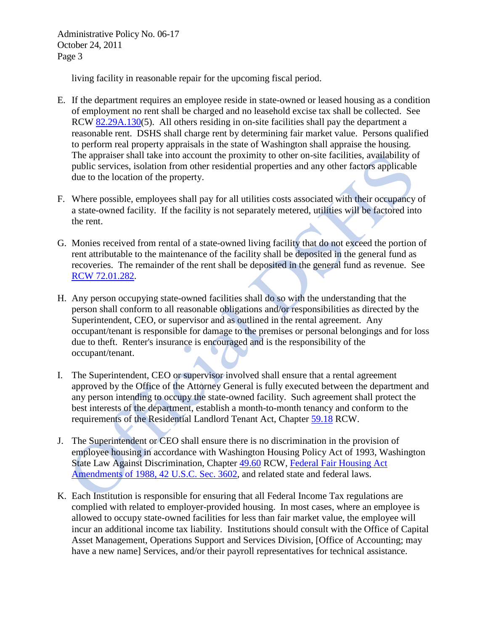Administrative Policy No. 06-17 October 24, 2011 Page 3

living facility in reasonable repair for the upcoming fiscal period.

- E. If the department requires an employee reside in state-owned or leased housing as a condition of employment no rent shall be charged and no leasehold excise tax shall be collected. See RCW [82.29A.130\(](http://apps.leg.wa.gov/RCW/default.aspx?Cite=82.29A.130)5). All others residing in on-site facilities shall pay the department a reasonable rent. DSHS shall charge rent by determining fair market value. Persons qualified to perform real property appraisals in the state of Washington shall appraise the housing. The appraiser shall take into account the proximity to other on-site facilities, availability of public services, isolation from other residential properties and any other factors applicable due to the location of the property.
- F. Where possible, employees shall pay for all utilities costs associated with their occupancy of a state-owned facility. If the facility is not separately metered, utilities will be factored into the rent.
- G. Monies received from rental of a state-owned living facility that do not exceed the portion of rent attributable to the maintenance of the facility shall be deposited in the general fund as recoveries. The remainder of the rent shall be deposited in the general fund as revenue. See [RCW 72.01.282.](http://apps.leg.wa.gov/rcw/default.aspx?cite=72.01.282)
- H. Any person occupying state-owned facilities shall do so with the understanding that the person shall conform to all reasonable obligations and/or responsibilities as directed by the Superintendent, CEO, or supervisor and as outlined in the rental agreement. Any occupant/tenant is responsible for damage to the premises or personal belongings and for loss due to theft. Renter's insurance is encouraged and is the responsibility of the occupant/tenant.
- I. The Superintendent, CEO or supervisor involved shall ensure that a rental agreement approved by the Office of the Attorney General is fully executed between the department and any person intending to occupy the state-owned facility. Such agreement shall protect the best interests of the department, establish a month-to-month tenancy and conform to the requirements of the Residential Landlord Tenant Act, Chapter [59.18](http://apps.leg.wa.gov/RCW/default.aspx?Cite=59.18) RCW.
- J. The Superintendent or CEO shall ensure there is no discrimination in the provision of employee housing in accordance with Washington Housing Policy Act of 1993, Washington State Law Against Discrimination, Chapter [49.60](http://apps.leg.wa.gov/RCW/default.aspx?cite=49.60) RCW, [Federal Fair Housing Act](http://www.fairhousinghelper.com/fhatext.html#3602)  [Amendments of 1988, 42 U.S.C. Sec. 3602,](http://www.fairhousinghelper.com/fhatext.html#3602) and related state and federal laws.
- K. Each Institution is responsible for ensuring that all Federal Income Tax regulations are complied with related to employer-provided housing. In most cases, where an employee is allowed to occupy state-owned facilities for less than fair market value, the employee will incur an additional income tax liability. Institutions should consult with the Office of Capital Asset Management, Operations Support and Services Division, [Office of Accounting; may have a new name] Services, and/or their payroll representatives for technical assistance.